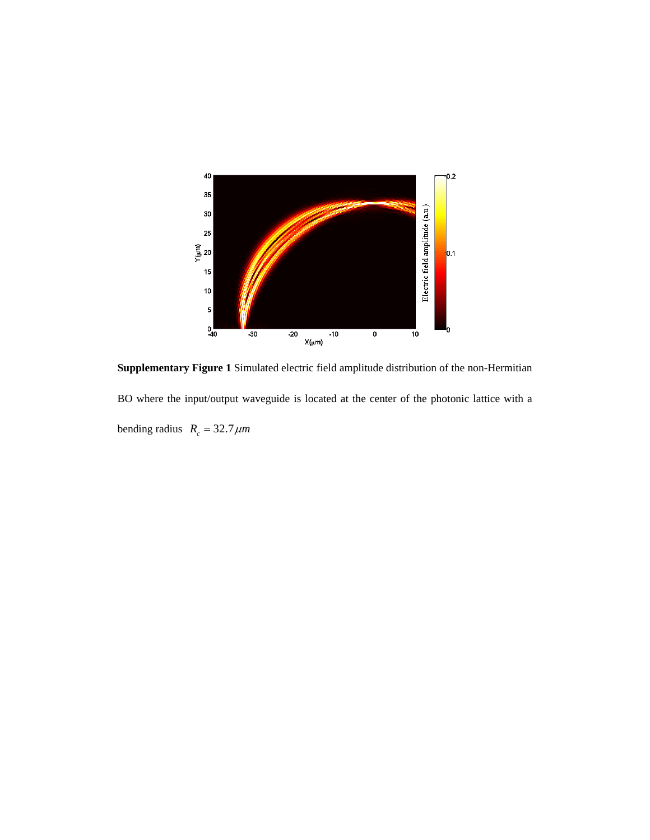

**Supplementary Figure 1** Simulated electric field amplitude distribution of the non-Hermitian BO where the input/output waveguide is located at the center of the photonic lattice with a bending radius  $R_c = 32.7 \mu m$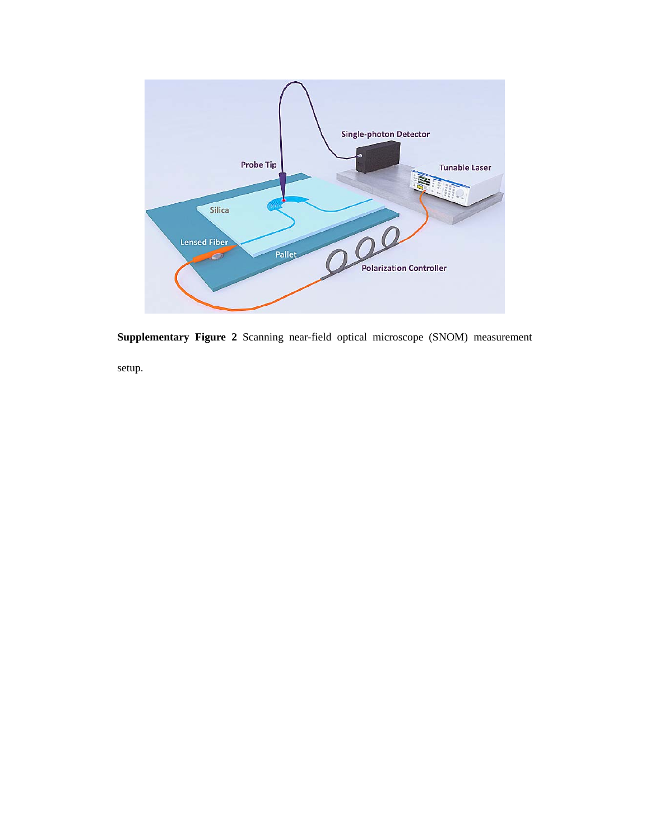

**Supplementary Figure 2** Scanning near-field optical microscope (SNOM) measurement

setup.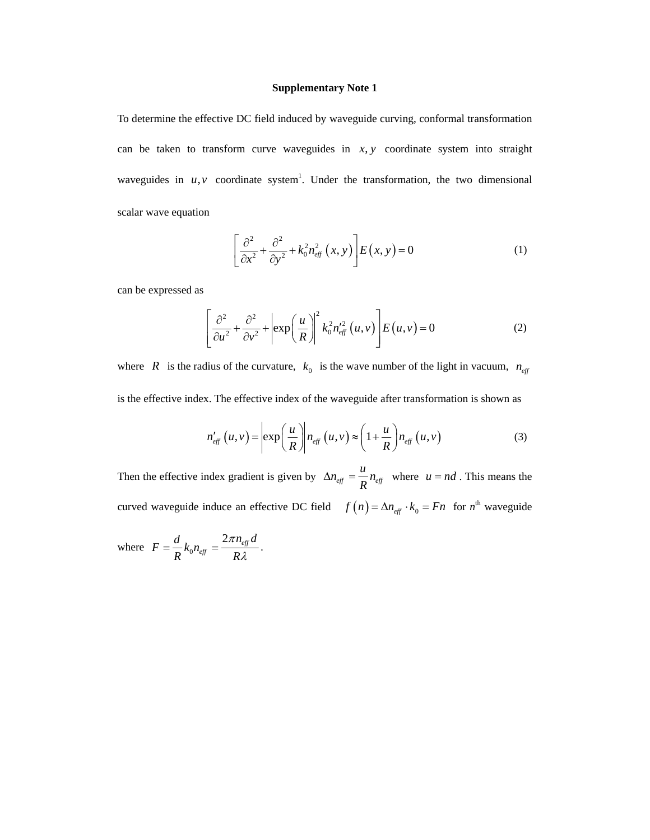To determine the effective DC field induced by waveguide curving, conformal transformation can be taken to transform curve waveguides in  $x, y$  coordinate system into straight waveguides in  $u, v$  coordinate system<sup>1</sup>. Under the transformation, the two dimensional scalar wave equation

$$
\left[\frac{\partial^2}{\partial x^2} + \frac{\partial^2}{\partial y^2} + k_0^2 n_{\text{eff}}^2(x, y)\right] E(x, y) = 0 \tag{1}
$$

can be expressed as

$$
\left[\frac{\partial^2}{\partial u^2} + \frac{\partial^2}{\partial v^2} + \left| \exp\left(\frac{u}{R}\right) \right|^2 k_0^2 n_{\text{eff}}'^2(u, v) \right] E(u, v) = 0 \tag{2}
$$

where *R* is the radius of the curvature,  $k_0$  is the wave number of the light in vacuum,  $n_{\text{eff}}$ is the effective index. The effective index of the waveguide after transformation is shown as

$$
n'_{\text{eff}}(u,v) = \left| \exp\left(\frac{u}{R}\right) \middle| n_{\text{eff}}(u,v) \right| \approx \left(1 + \frac{u}{R}\right) n_{\text{eff}}(u,v) \tag{3}
$$

Then the effective index gradient is given by  $\Delta n_{eff} = \frac{u}{R} n_{eff}$ *R*  $\Delta n_{\text{eff}} = \frac{u}{n_{\text{eff}}} n_{\text{eff}}$  where  $u = nd$ . This means the curved waveguide induce an effective DC field  $f(n) = \Delta n_{eff} \cdot k_0 = Fn$  for  $n^{\text{th}}$  waveguide

where  $F = \frac{a}{R} k_0$  $2\pi n_{\text{eff}}$ *eff*  $F = \frac{d}{dr} k_0 n_{\text{eff}} = \frac{2\pi n_{\text{eff}} d}{r}$  $R$ <sup>n</sup><sup>oneff</sup> R  $=\frac{d}{R}k_0 n_{\text{eff}}=\frac{2\pi n_{\text{eff}}a}{R\lambda}.$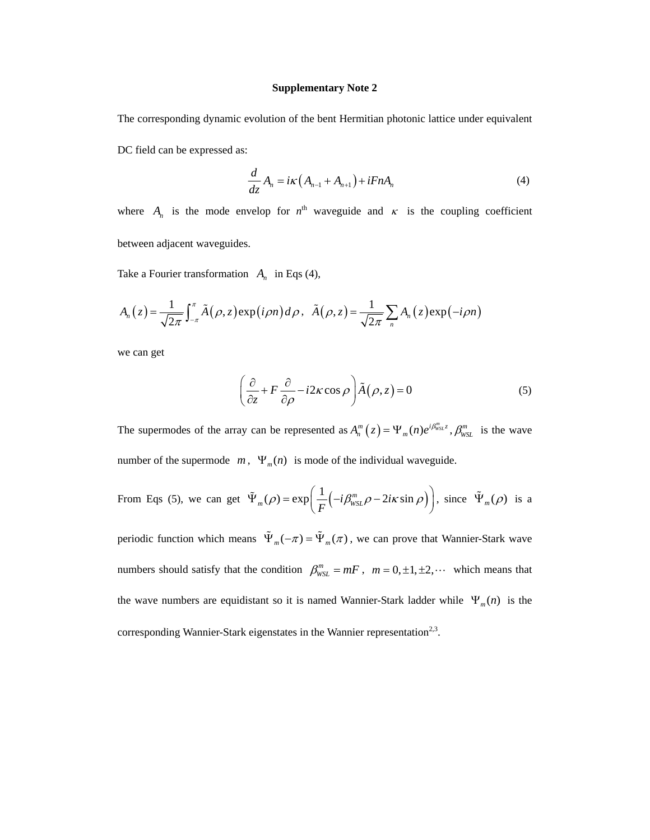The corresponding dynamic evolution of the bent Hermitian photonic lattice under equivalent

DC field can be expressed as:

$$
\frac{d}{dz}A_n = i\kappa \left(A_{n-1} + A_{n+1}\right) + iFnA_n \tag{4}
$$

where  $A_n$  is the mode envelop for  $n^{\text{th}}$  waveguide and  $\kappa$  is the coupling coefficient between adjacent waveguides.

Take a Fourier transformation  $A_n$  in Eqs (4),

$$
A_n(z) = \frac{1}{\sqrt{2\pi}} \int_{-\pi}^{\pi} \tilde{A}(\rho, z) \exp(i\rho n) d\rho, \quad \tilde{A}(\rho, z) = \frac{1}{\sqrt{2\pi}} \sum_{n} A_n(z) \exp(-i\rho n)
$$

we can get

$$
\left(\frac{\partial}{\partial z} + F\frac{\partial}{\partial \rho} - i2\kappa \cos \rho\right) \tilde{A}(\rho, z) = 0
$$
\n(5)

The supermodes of the array can be represented as  $A_n^m(z) = \Psi_m(n)e^{i\beta_{\text{WSL}}^m z}$ ,  $\beta_{\text{WSL}}^m$  is the wave number of the supermode  $m$ ,  $\Psi_m(n)$  is mode of the individual waveguide.

From Eqs (5), we can get 
$$
\tilde{\Psi}_m(\rho) = \exp\left(\frac{1}{F}\left(-i\beta_{\text{WSL}}^m \rho - 2i\kappa \sin \rho\right)\right)
$$
, since  $\tilde{\Psi}_m(\rho)$  is a

periodic function which means  $\tilde{\Psi}_m(-\pi) = \tilde{\Psi}_m(\pi)$ , we can prove that Wannier-Stark wave numbers should satisfy that the condition  $\beta_{WSL}^m = mF$ ,  $m = 0, \pm 1, \pm 2, \cdots$  which means that the wave numbers are equidistant so it is named Wannier-Stark ladder while  $\Psi_m(n)$  is the corresponding Wannier-Stark eigenstates in the Wannier representation<sup>2,3</sup>.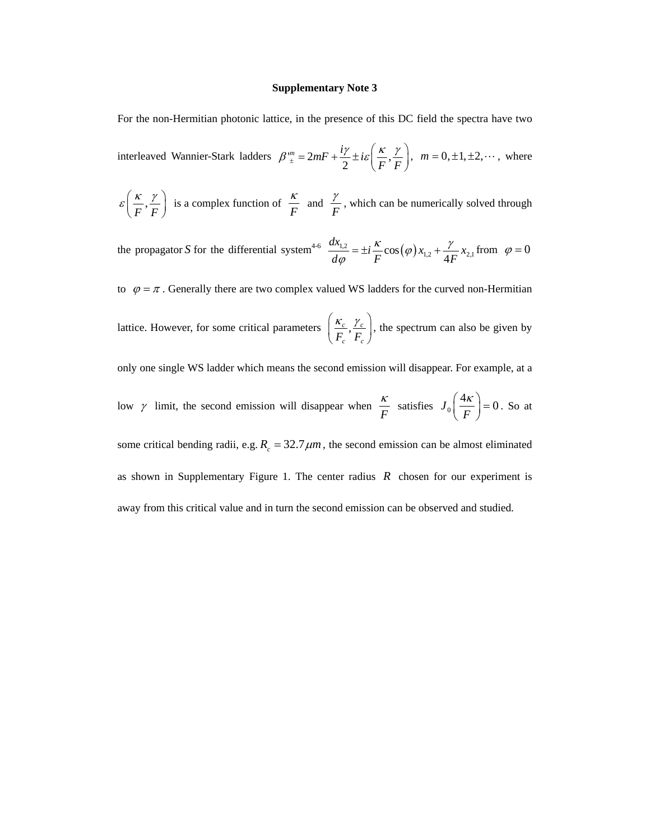For the non-Hermitian photonic lattice, in the presence of this DC field the spectra have two

interleaved Wannier-Stark ladders  $\beta^m_{\pm} = 2mF + \frac{i\gamma}{2} \pm i\varepsilon \left(\frac{\kappa}{F}\right)$ ,  $\beta^{\mu m}_{\pm} = 2mF + \frac{i\gamma}{2} \pm i\varepsilon \left(\frac{\kappa}{F}, \frac{\gamma}{F}\right), \quad m = 0, \pm 1, \pm 2, \cdots,$  where

$$
\varepsilon\left(\frac{\kappa}{F}, \frac{\gamma}{F}\right)
$$
 is a complex function of  $\frac{\kappa}{F}$  and  $\frac{\gamma}{F}$ , which can be numerically solved through

the propagator *S* for the differential system<sup>4-6</sup>  $\frac{dA_{1,2}}{d\varphi} = \pm i \frac{\kappa}{F} \cos(\varphi) x_{1,2} + \frac{\gamma}{4F} x_{2,1}$  $\frac{dx_{1,2}}{dx} = \pm i \frac{\kappa}{2} \cos(\varphi) x_{1,2} + \frac{\gamma}{4\pi x} x$  $d\varphi$  *F*  $\cdots$  *F*  $\cdots$  *4F*  $\frac{\kappa}{2}$ cos $(\varphi) x_{12} + \frac{\gamma}{4}$  $\varphi$  $= \pm i \frac{\Lambda}{\sigma} \cos(\varphi) x_1$ ,  $+ \frac{\Lambda}{\sigma} x_2$ , from  $\varphi = 0$ 

to  $\varphi = \pi$ . Generally there are two complex valued WS ladders for the curved non-Hermitian

lattice. However, for some critical parameters  $\frac{\Lambda_c}{\Sigma_c}$ ,  $\frac{r_c}{\Sigma_c}$  $\left(\frac{\kappa_c}{F_c}, \frac{\gamma_c}{F_c}\right)$ , the spectrum can also be given by

only one single WS ladder which means the second emission will disappear. For example, at a

low 
$$
\gamma
$$
 limit, the second emission will disappear when  $\frac{\kappa}{F}$  satisfies  $J_0\left(\frac{4\kappa}{F}\right) = 0$ . So at

some critical bending radii, e.g.  $R_c = 32.7 \mu m$ , the second emission can be almost eliminated as shown in Supplementary Figure 1. The center radius *R* chosen for our experiment is away from this critical value and in turn the second emission can be observed and studied.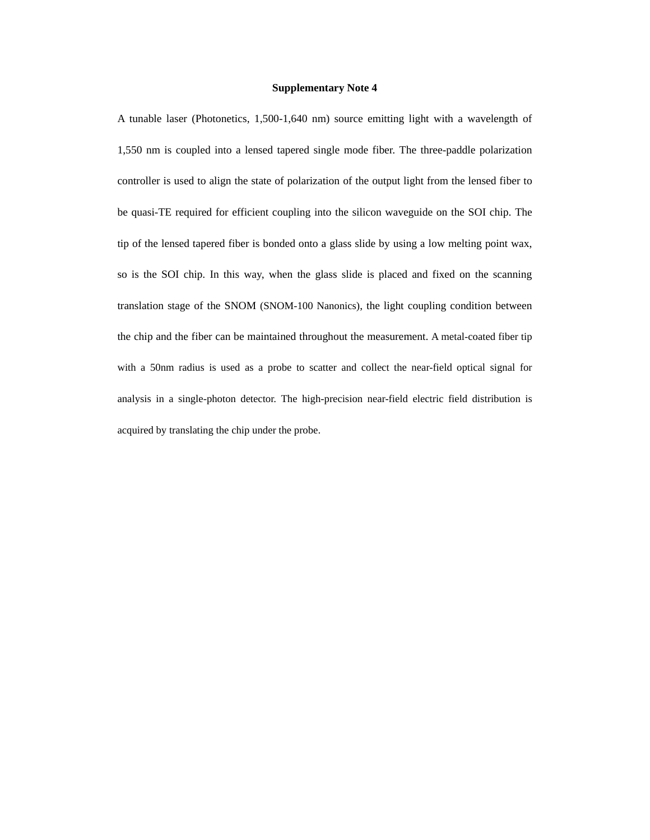A tunable laser (Photonetics, 1,500-1,640 nm) source emitting light with a wavelength of 1,550 nm is coupled into a lensed tapered single mode fiber. The three-paddle polarization controller is used to align the state of polarization of the output light from the lensed fiber to be quasi-TE required for efficient coupling into the silicon waveguide on the SOI chip. The tip of the lensed tapered fiber is bonded onto a glass slide by using a low melting point wax, so is the SOI chip. In this way, when the glass slide is placed and fixed on the scanning translation stage of the SNOM (SNOM-100 Nanonics), the light coupling condition between the chip and the fiber can be maintained throughout the measurement. A metal-coated fiber tip with a 50nm radius is used as a probe to scatter and collect the near-field optical signal for analysis in a single-photon detector. The high-precision near-field electric field distribution is acquired by translating the chip under the probe.